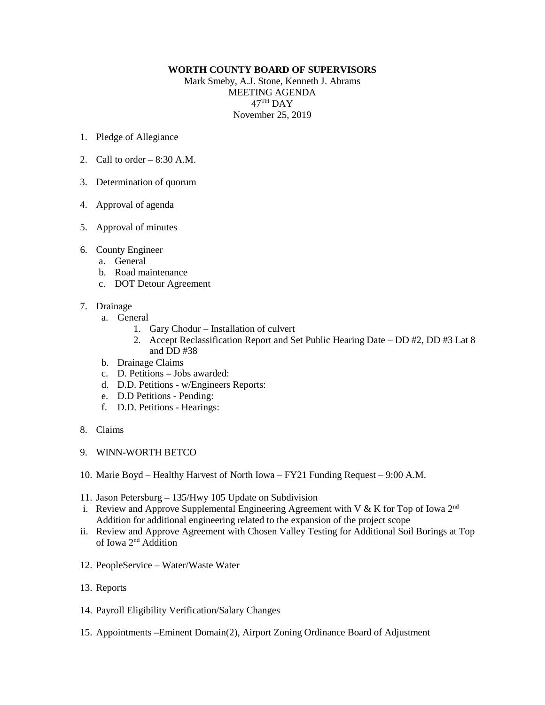## **WORTH COUNTY BOARD OF SUPERVISORS**

Mark Smeby, A.J. Stone, Kenneth J. Abrams MEETING AGENDA 47TH DAY November 25, 2019

- 1. Pledge of Allegiance
- 2. Call to order  $-8:30$  A.M.
- 3. Determination of quorum
- 4. Approval of agenda
- 5. Approval of minutes
- 6. County Engineer
	- a. General
	- b. Road maintenance
	- c. DOT Detour Agreement

## 7. Drainage

- a. General
	- 1. Gary Chodur Installation of culvert
	- 2. Accept Reclassification Report and Set Public Hearing Date DD #2, DD #3 Lat 8 and DD #38
- b. Drainage Claims
- c. D. Petitions Jobs awarded:
- d. D.D. Petitions w/Engineers Reports:
- e. D.D Petitions Pending:
- f. D.D. Petitions Hearings:
- 8. Claims
- 9. WINN-WORTH BETCO
- 10. Marie Boyd Healthy Harvest of North Iowa FY21 Funding Request 9:00 A.M.
- 11. Jason Petersburg 135/Hwy 105 Update on Subdivision
- i. Review and Approve Supplemental Engineering Agreement with V & K for Top of Iowa  $2<sup>nd</sup>$ Addition for additional engineering related to the expansion of the project scope
- ii. Review and Approve Agreement with Chosen Valley Testing for Additional Soil Borings at Top of Iowa 2nd Addition
- 12. PeopleService Water/Waste Water
- 13. Reports
- 14. Payroll Eligibility Verification/Salary Changes
- 15. Appointments –Eminent Domain(2), Airport Zoning Ordinance Board of Adjustment